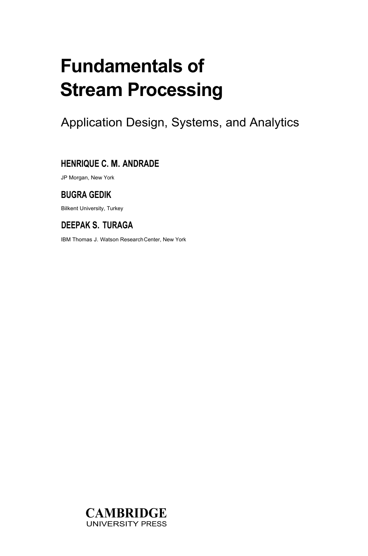# **Fundamentals of Stream Processing**

Application Design, Systems, and Analytics

#### **HENRIQUE C. M. ANDRADE**

JP Morgan, New York

#### **BUGRA GEDIK**

Bilkent University, Turkey

### **DEEPAK S. TURAGA**

IBM Thomas J. Watson Research Center, New York

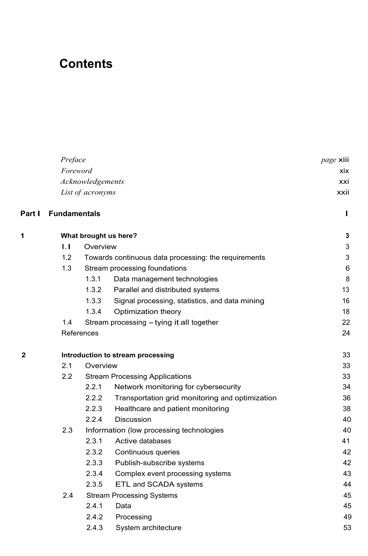## **Contents**

|        | Preface               |                                       |                                                      | page xiii |  |
|--------|-----------------------|---------------------------------------|------------------------------------------------------|-----------|--|
|        | Foreword              |                                       |                                                      |           |  |
|        |                       | Acknowledgements                      |                                                      | xxi       |  |
|        | List of acronyms      |                                       |                                                      |           |  |
| Part I | <b>Fundamentals</b>   |                                       |                                                      | г         |  |
| 1      | What brought us here? | 3                                     |                                                      |           |  |
|        | $\mathbf{L}$          | Overview                              |                                                      | 3         |  |
|        | 1.2                   |                                       | Towards continuous data processing: the requirements | 3         |  |
|        | 1.3                   |                                       | Stream processing foundations                        | 6         |  |
|        |                       | 1.3.1                                 | Data management technologies                         | 8         |  |
|        |                       | 1.3.2                                 | Parallel and distributed systems                     | 13        |  |
|        |                       | 1.3.3                                 | Signal processing, statistics, and data mining       | 16        |  |
|        |                       | 1.3.4                                 | Optimization theory                                  | 18        |  |
|        | 1.4                   |                                       | Stream processing - tying it all together            | 22        |  |
|        |                       | References                            |                                                      | 24        |  |
| 2      |                       |                                       | Introduction to stream processing                    | 33        |  |
|        | 2.1                   | Overview                              | 33                                                   |           |  |
|        | 2.2                   | <b>Stream Processing Applications</b> |                                                      |           |  |
|        |                       | 2.2.1                                 | Network monitoring for cybersecurity                 | 34        |  |
|        |                       | 2.2.2                                 | Transportation grid monitoring and optimization      | 36        |  |
|        |                       | 2.2.3                                 | Healthcare and patient monitoring                    | 38        |  |
|        |                       | 2.2.4                                 | <b>Discussion</b>                                    | 40        |  |
|        | 2.3                   |                                       | Information (low processing technologies             | 40        |  |
|        |                       | 2.3.1                                 | Active databases                                     | 41        |  |
|        |                       | 2.3.2                                 | Continuous queries                                   | 42        |  |
|        |                       | 2.3.3                                 | Publish-subscribe systems                            | 42        |  |
|        |                       | 2.3.4                                 | Complex event processing systems                     | 43        |  |
|        |                       | 2.3.5                                 | ETL and SCADA systems                                | 44        |  |
|        | 2.4                   |                                       | <b>Stream Processing Systems</b>                     | 45        |  |
|        |                       | 2.4.1                                 | Data                                                 | 45        |  |
|        |                       | 2.4.2                                 | Processing                                           | 49        |  |
|        |                       | 2.4.3                                 | System architecture                                  | 53        |  |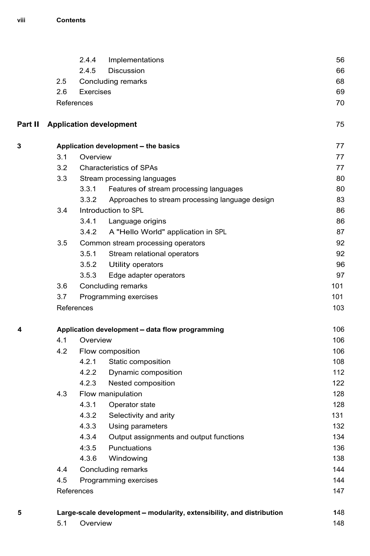|         |                                                 | 2.4.4<br>Implementations                                              | 56  |  |
|---------|-------------------------------------------------|-----------------------------------------------------------------------|-----|--|
|         |                                                 | 2.4.5<br>Discussion                                                   | 66  |  |
|         | 2.5                                             | Concluding remarks                                                    | 68  |  |
|         | 2.6                                             | Exercises                                                             | 69  |  |
|         |                                                 | References                                                            | 70  |  |
| Part II |                                                 | <b>Application development</b>                                        | 75  |  |
| З       | Application development - the basics            |                                                                       |     |  |
|         | 3.1                                             | Overview                                                              | 77  |  |
|         | 3.2                                             | <b>Characteristics of SPAs</b>                                        |     |  |
|         | 3.3                                             | Stream processing languages                                           | 80  |  |
|         |                                                 | 3.3.1<br>Features of stream processing languages                      | 80  |  |
|         |                                                 | 3.3.2<br>Approaches to stream processing language design              | 83  |  |
|         | 3.4                                             | Introduction to SPL                                                   | 86  |  |
|         |                                                 | 3.4.1<br>Language origins                                             | 86  |  |
|         |                                                 | 3.4.2<br>A "Hello World" application in SPL                           | 87  |  |
|         | 3.5                                             | Common stream processing operators                                    | 92  |  |
|         |                                                 | 3.5.1<br>Stream relational operators                                  | 92  |  |
|         |                                                 | 3.5.2 Utility operators                                               | 96  |  |
|         |                                                 | 3.5.3<br>Edge adapter operators                                       | 97  |  |
|         | 3.6                                             | Concluding remarks                                                    | 101 |  |
|         | 3.7                                             | Programming exercises                                                 | 101 |  |
|         |                                                 | References                                                            | 103 |  |
| 4       | Application development - data flow programming |                                                                       |     |  |
|         | 4.1                                             | Overview                                                              |     |  |
|         | 4.2                                             | Flow composition                                                      |     |  |
|         |                                                 | 4.2.1<br>Static composition                                           | 108 |  |
|         |                                                 | 4.2.2 Dynamic composition                                             | 112 |  |
|         |                                                 | 4.2.3<br>Nested composition                                           | 122 |  |
|         | 4.3                                             | Flow manipulation                                                     | 128 |  |
|         |                                                 | 4.3.1<br>Operator state                                               | 128 |  |
|         |                                                 | 4.3.2<br>Selectivity and arity                                        | 131 |  |
|         |                                                 | 4.3.3 Using parameters                                                | 132 |  |
|         |                                                 | 4.3.4<br>Output assignments and output functions                      | 134 |  |
|         |                                                 | 4:3.5<br>Punctuations                                                 | 136 |  |
|         |                                                 | 4.3.6<br>Windowing                                                    | 138 |  |
|         | 4.4                                             | Concluding remarks                                                    | 144 |  |
|         | 4.5                                             | Programming exercises                                                 |     |  |
|         |                                                 | References                                                            | 147 |  |
| 5       |                                                 | Large-scale development - modularity, extensibility, and distribution | 148 |  |
|         | 5.1                                             | Overview                                                              | 148 |  |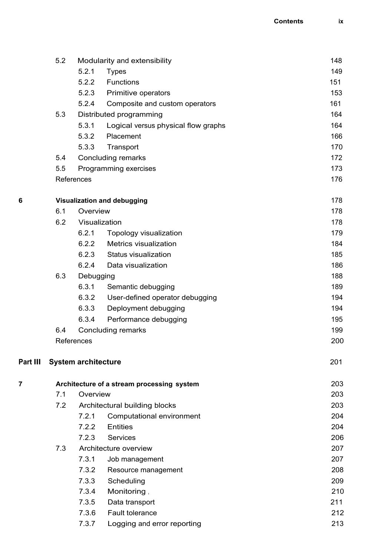|          | 5.2                         | Modularity and extensibility |                                            |     |
|----------|-----------------------------|------------------------------|--------------------------------------------|-----|
|          |                             | 5.2.1                        | <b>Types</b>                               | 149 |
|          |                             | 5.2.2                        | Functions                                  | 151 |
|          |                             | 5.2.3                        | Primitive operators                        | 153 |
|          |                             | 5.2.4                        | Composite and custom operators             | 161 |
|          | 5.3                         |                              | Distributed programming                    | 164 |
|          |                             | 5.3.1                        | Logical versus physical flow graphs        | 164 |
|          |                             | 5.3.2                        | Placement                                  | 166 |
|          |                             | 5.3.3                        | Transport                                  | 170 |
|          | 5.4                         |                              | Concluding remarks                         | 172 |
|          | 5.5                         |                              | Programming exercises                      | 173 |
|          |                             | References                   |                                            | 176 |
| 6        | Visualization and debugging | 178                          |                                            |     |
|          | 6.1                         | Overview                     |                                            | 178 |
|          | 6.2                         |                              | Visualization                              | 178 |
|          |                             | 6.2.1                        | Topology visualization                     | 179 |
|          |                             | 6.2.2                        | Metrics visualization                      | 184 |
|          |                             | 6.2.3                        | Status visualization                       | 185 |
|          |                             | 6.2.4                        | Data visualization                         | 186 |
|          | 6.3                         | Debugging                    |                                            | 188 |
|          |                             | 6.3.1                        | Semantic debugging                         | 189 |
|          |                             | 6.3.2                        | User-defined operator debugging            | 194 |
|          |                             | 6.3.3                        | Deployment debugging                       | 194 |
|          |                             | 6.3.4                        | Performance debugging                      | 195 |
|          | 6.4                         |                              | Concluding remarks                         | 199 |
|          |                             | References                   |                                            | 200 |
| Part III |                             | <b>System architecture</b>   |                                            | 201 |
| 7        |                             |                              | Architecture of a stream processing system | 203 |
|          | 7.1                         | Overview                     |                                            | 203 |
|          | 7.2                         |                              | Architectural building blocks              | 203 |
|          |                             | 7.2.1                        | Computational environment                  | 204 |
|          |                             | 7.2.2                        | Entities                                   | 204 |
|          |                             | 7.2.3                        | Services                                   | 206 |
|          | 7.3                         |                              | Architecture overview                      | 207 |
|          |                             | 7.3.1                        | Job management                             | 207 |
|          |                             | 7.3.2                        | Resource management                        | 208 |
|          |                             | 7.3.3                        | Scheduling                                 | 209 |
|          |                             | 7.3.4                        | Monitoring,                                | 210 |
|          |                             | 7.3.5                        | Data transport                             | 211 |
|          |                             | 7.3.6                        | Fault tolerance                            | 212 |
|          |                             | 7.3.7                        | Logging and error reporting                | 213 |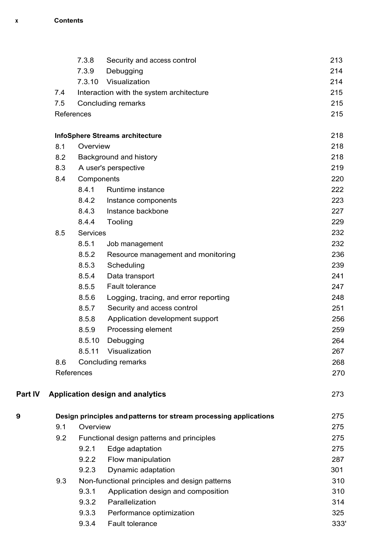|         |                               | 7.3.8      | Security and access control                                       | 213  |  |
|---------|-------------------------------|------------|-------------------------------------------------------------------|------|--|
|         |                               | 7.3.9      | Debugging                                                         | 214  |  |
|         |                               | 7.3.10     | Visualization                                                     | 214  |  |
|         | 7.4                           |            | Interaction with the system architecture                          | 215  |  |
|         | 7.5                           |            | Concluding remarks                                                | 215  |  |
|         |                               | References |                                                                   | 215  |  |
|         |                               |            | InfoSphere Streams architecture                                   | 218  |  |
|         | 8.1                           | Overview   |                                                                   |      |  |
|         | 8.2<br>Background and history |            |                                                                   | 218  |  |
|         | 8.3                           |            | A user's perspective                                              | 219  |  |
|         | 8.4                           | Components |                                                                   | 220  |  |
|         |                               | 8.4.1      | Runtime instance                                                  | 222  |  |
|         |                               | 8.4.2      | Instance components                                               | 223  |  |
|         |                               | 8.4.3      | Instance backbone                                                 | 227  |  |
|         |                               | 8.4.4      | Tooling                                                           | 229  |  |
|         | 8.5                           | Services   |                                                                   | 232  |  |
|         |                               | 8.5.1      | Job management                                                    | 232  |  |
|         |                               | 8.5.2      | Resource management and monitoring                                | 236  |  |
|         |                               | 8.5.3      | Scheduling                                                        | 239  |  |
|         |                               | 8.5.4      | Data transport                                                    | 241  |  |
|         |                               | 8.5.5      | Fault tolerance                                                   | 247  |  |
|         |                               | 8.5.6      | Logging, tracing, and error reporting                             | 248  |  |
|         |                               | 8.5.7      | Security and access control                                       | 251  |  |
|         |                               | 8.5.8      | Application development support                                   | 256  |  |
|         |                               | 8.5.9      | Processing element                                                | 259  |  |
|         |                               | 8.5.10     | Debugging                                                         | 264  |  |
|         |                               | 8.5.11     | Visualization                                                     | 267  |  |
|         | 8.6                           |            | Concluding remarks                                                | 268  |  |
|         | References                    | 270        |                                                                   |      |  |
| Part IV |                               |            | Application design and analytics                                  | 273  |  |
| 9       |                               |            | Design principles and patterns tor stream processing applications | 275  |  |
|         | 9.1                           | Overview   |                                                                   | 275  |  |
|         | 9.2                           |            | Functional design patterns and principles                         | 275  |  |
|         |                               | 9.2.1      | Edge adaptation                                                   | 275  |  |
|         |                               | 9.2.2      | Flow manipulation                                                 | 287  |  |
|         |                               | 9.2.3      | Dynamic adaptation                                                | 301  |  |
|         | 9.3                           |            | Non-functional principles and design patterns                     | 310  |  |
|         |                               | 9.3.1      | Application design and composition                                | 310  |  |
|         |                               | 9.3.2      | Parallelization                                                   | 314  |  |
|         |                               | 9.3.3      | Performance optimization                                          | 325  |  |
|         |                               | 9.3.4      | Fault tolerance                                                   | 333' |  |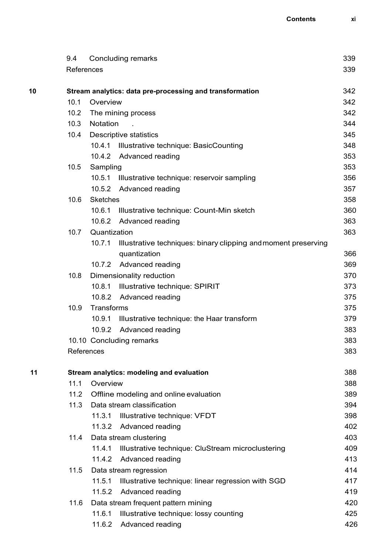|    | 9.4                                       |                                                          | Concluding remarks                                             | 339        |  |
|----|-------------------------------------------|----------------------------------------------------------|----------------------------------------------------------------|------------|--|
|    | References                                |                                                          |                                                                | 339        |  |
|    |                                           |                                                          |                                                                |            |  |
| 10 |                                           | Stream analytics: data pre-processing and transformation |                                                                |            |  |
|    | 10.1                                      | Overview                                                 |                                                                | 342        |  |
|    | 10.2 <sub>1</sub>                         | The mining process                                       |                                                                |            |  |
|    | 10.3                                      | <b>Notation</b>                                          |                                                                |            |  |
|    | 10.4                                      | Descriptive statistics                                   |                                                                | 345        |  |
|    |                                           |                                                          | 10.4.1 Illustrative technique: BasicCounting                   | 348        |  |
|    |                                           |                                                          | 10.4.2 Advanced reading                                        | 353        |  |
|    | 10.5                                      | Sampling                                                 |                                                                | 353        |  |
|    |                                           | 10.5.1                                                   | Illustrative technique: reservoir sampling                     | 356        |  |
|    |                                           |                                                          | 10.5.2 Advanced reading                                        | 357        |  |
|    | 10.6                                      | <b>Sketches</b>                                          |                                                                | 358        |  |
|    |                                           |                                                          | 10.6.1 Illustrative technique: Count-Min sketch                | 360        |  |
|    |                                           | 10.6.2                                                   | Advanced reading                                               | 363        |  |
|    | 10.7                                      | Quantization                                             |                                                                | 363        |  |
|    |                                           | 10.7.1                                                   | Illustrative techniques: binary clipping and moment preserving |            |  |
|    |                                           |                                                          | quantization                                                   | 366        |  |
|    |                                           |                                                          | 10.7.2 Advanced reading                                        | 369        |  |
|    | 10.8                                      |                                                          | Dimensionality reduction                                       | 370        |  |
|    |                                           |                                                          | 10.8.1 Illustrative technique: SPIRIT                          | 373        |  |
|    |                                           |                                                          | 10.8.2 Advanced reading                                        | 375        |  |
|    | 10.9                                      | Transforms                                               |                                                                | 375        |  |
|    |                                           | 10.9.1                                                   | Illustrative technique: the Haar transform                     | 379        |  |
|    |                                           |                                                          | 10.9.2 Advanced reading                                        | 383        |  |
|    |                                           | 10.10 Concluding remarks                                 |                                                                |            |  |
|    |                                           | References                                               |                                                                |            |  |
| 11 | Stream analytics: modeling and evaluation |                                                          |                                                                | 388        |  |
|    |                                           | 11.1<br>Overview                                         |                                                                |            |  |
|    | 11.2                                      | Offline modeling and online evaluation                   |                                                                |            |  |
|    | 11.3                                      |                                                          | Data stream classification                                     | 389<br>394 |  |
|    |                                           | 11.3.1                                                   | Illustrative technique: VFDT                                   | 398        |  |
|    |                                           |                                                          | 11.3.2 Advanced reading                                        | 402        |  |
|    | 11.4                                      |                                                          | Data stream clustering                                         | 403        |  |
|    |                                           | 11.4.1                                                   | Illustrative technique: CluStream microclustering              | 409        |  |
|    |                                           | 11.4.2                                                   | Advanced reading                                               | 413        |  |
|    | 11.5                                      |                                                          | Data stream regression                                         | 414        |  |
|    |                                           | 11.5.1                                                   | Illustrative technique: linear regression with SGD             | 417        |  |
|    |                                           | 11.5.2                                                   | Advanced reading                                               | 419        |  |
|    | 11.6                                      |                                                          | Data stream frequent pattern mining                            | 420        |  |
|    |                                           | 11.6.1<br>Illustrative technique: lossy counting         |                                                                | 425        |  |
|    |                                           | 11.6.2                                                   | Advanced reading                                               | 426        |  |
|    |                                           |                                                          |                                                                |            |  |